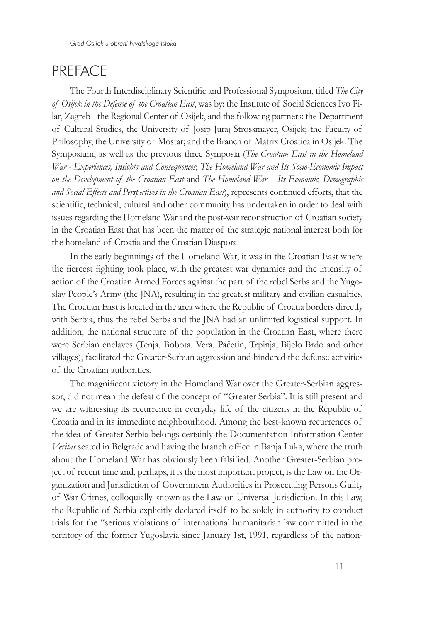## **PREFACE**

The Fourth Interdisciplinary Scientific and Professional Symposium, titled *The City of Osijek in the Defense of the Croatian East*, was by: the Institute of Social Sciences Ivo Pilar, Zagreb - the Regional Center of Osijek, and the following partners: the Department of Cultural Studies, the University of Josip Juraj Strossmayer, Osijek; the Faculty of Philosophy, the University of Mostar; and the Branch of Matrix Croatica in Osijek. The Symposium, as well as the previous three Symposia (*The Croatian East in the Homeland War - Experiences, Insights and Consequences*; *The Homeland War and Its Socio-Economic Impact on the Development of the Croatian East* and *The Homeland War – Its Economic, Demographic and Social Effects and Perspectives in the Croatian East*), represents continued efforts, that the scientific, technical, cultural and other community has undertaken in order to deal with issues regarding the Homeland War and the post-war reconstruction of Croatian society in the Croatian East that has been the matter of the strategic national interest both for the homeland of Croatia and the Croatian Diaspora.

In the early beginnings of the Homeland War, it was in the Croatian East where the fiercest fighting took place, with the greatest war dynamics and the intensity of action of the Croatian Armed Forces against the part of the rebel Serbs and the Yugoslav People's Army (the JNA), resulting in the greatest military and civilian casualties. The Croatian East is located in the area where the Republic of Croatia borders directly with Serbia, thus the rebel Serbs and the JNA had an unlimited logistical support. In addition, the national structure of the population in the Croatian East, where there were Serbian enclaves (Tenja, Bobota, Vera, Pačetin, Trpinja, Bijelo Brdo and other villages), facilitated the Greater-Serbian aggression and hindered the defense activities of the Croatian authorities.

The magnificent victory in the Homeland War over the Greater-Serbian aggressor, did not mean the defeat of the concept of "Greater Serbia". It is still present and we are witnessing its recurrence in everyday life of the citizens in the Republic of Croatia and in its immediate neighbourhood. Among the best-known recurrences of the idea of Greater Serbia belongs certainly the Documentation Information Center *Veritas* seated in Belgrade and having the branch office in Banja Luka, where the truth about the Homeland War has obviously been falsified. Another Greater-Serbian project of recent time and, perhaps, it is the most important project, is the Law on the Organization and Jurisdiction of Government Authorities in Prosecuting Persons Guilty of War Crimes, colloquially known as the Law on Universal Jurisdiction. In this Law, the Republic of Serbia explicitly declared itself to be solely in authority to conduct trials for the "serious violations of international humanitarian law committed in the territory of the former Yugoslavia since January 1st, 1991, regardless of the nation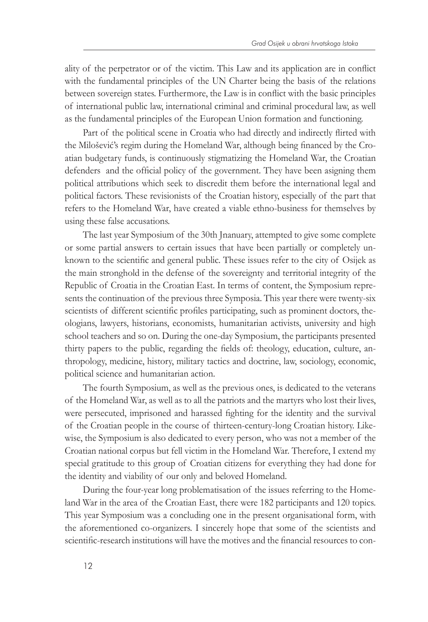ality of the perpetrator or of the victim. This Law and its application are in conflict with the fundamental principles of the UN Charter being the basis of the relations between sovereign states. Furthermore, the Law is in conflict with the basic principles of international public law, international criminal and criminal procedural law, as well as the fundamental principles of the European Union formation and functioning.

Part of the political scene in Croatia who had directly and indirectly flirted with the Milošević's regim during the Homeland War, although being financed by the Croatian budgetary funds, is continuously stigmatizing the Homeland War, the Croatian defenders and the official policy of the government. They have been asigning them political attributions which seek to discredit them before the international legal and political factors. These revisionists of the Croatian history, especially of the part that refers to the Homeland War, have created a viable ethno-business for themselves by using these false accusations.

The last year Symposium of the 30th Jnanuary, attempted to give some complete or some partial answers to certain issues that have been partially or completely unknown to the scientific and general public. These issues refer to the city of Osijek as the main stronghold in the defense of the sovereignty and territorial integrity of the Republic of Croatia in the Croatian East. In terms of content, the Symposium represents the continuation of the previous three Symposia. This year there were twenty-six scientists of different scientific profiles participating, such as prominent doctors, theologians, lawyers, historians, economists, humanitarian activists, university and high school teachers and so on. During the one-day Symposium, the participants presented thirty papers to the public, regarding the fields of: theology, education, culture, anthropology, medicine, history, military tactics and doctrine, law, sociology, economic, political science and humanitarian action.

The fourth Symposium, as well as the previous ones, is dedicated to the veterans of the Homeland War, as well as to all the patriots and the martyrs who lost their lives, were persecuted, imprisoned and harassed fighting for the identity and the survival of the Croatian people in the course of thirteen-century-long Croatian history. Likewise, the Symposium is also dedicated to every person, who was not a member of the Croatian national corpus but fell victim in the Homeland War. Therefore, I extend my special gratitude to this group of Croatian citizens for everything they had done for the identity and viability of our only and beloved Homeland.

During the four-year long problematisation of the issues referring to the Homeland War in the area of the Croatian East, there were 182 participants and 120 topics. This year Symposium was a concluding one in the present organisational form, with the aforementioned co-organizers. I sincerely hope that some of the scientists and scientific-research institutions will have the motives and the financial resources to con-